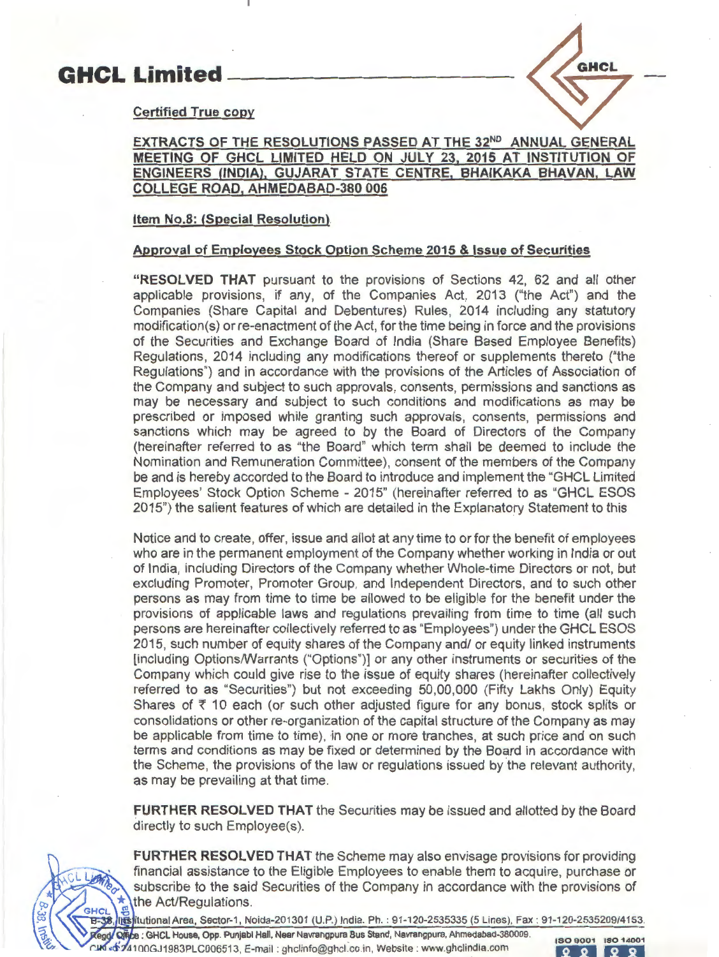# **GHCL Limited**



# **Certified True copy**

# **EXTRACTS OF THE RESOLUTIONS PASSED AT THE 32<sup>ND</sup> ANNUAL GENERAL MEETING OF GHCL LIMITED HELD ON JULY 23, 2015 AT INSTITUTION OF ENGINEERS (INDIA), GUJARAT STATE CENTRE, BHAIKAKA BHAVAN, LAW COLLEGE ROAD, AHMEDABAD-380 006**

# **Item No.8: (Special Resolution)**

# **Approval of Employees Stock Option Scheme 2015 & Issue of Securities**

**"RESOLVED THAT** pursuant to the provisions of Sections 42, 62 and all other applicable provisions, if any, of the Companies Act, 2013 ("the Act") and the Companies (Share Capital and Debentures) Rules, 2014 including any statutory modification(s) or re-enactment of the Act, for the time being in force and the provisions of the Securities and Exchange Board of India (Share Based Employee Benefits) Regulations, 2014 including any modifications thereof or supplements thereto ("the Regulations") and in accordance with the provisions of the Articles of Association of the Company and subject to such approvals, consents, permissions and sanctions as may be necessary and subject to such conditions and modifications as may be prescribed or imposed while granting such approvals, consents, permissions and sanctions which may be agreed to by the Board of Directors of the Company (hereinafter referred to as "the Board" which term shall be deemed to include the Nomination and Remuneration Committee), consent of the members of the Company be and is hereby accorded to the Board to introduce and implement the "GHCL Limited Employees' Stock Option Scheme - 2015" (hereinafter referred to as "GHCL ESOS 2015") the salient features of which are detailed in the Explanatory Statement to this

Notice and to create, offer, issue and allot at any time to or for the benefit of employees who are in the permanent employment of the Company whether working in India or out of India, including Directors of the Company whether Whole-time Directors or not, but excluding Promoter, Promoter Group, and Independent Directors, and to such other persons as may from time to time be allowed to be eligible for the benefit under the provisions of applicable laws and regulations prevailing from time to time (all such persons are hereinafter collectively referred to as "Employees") under the GHCL ESOS 2015, such number of equity shares of the Company and/ or equity linked instruments [including Options/Warrants ("Options")] or any other instruments or securities of the Company which could give rise to the issue of equity shares (hereinafter collectively referred to as "Securities") but not exceeding 50,00,000 (Fifty Lakhs Only) Equity Shares of  $\bar{\tau}$  10 each (or such other adjusted figure for any bonus, stock splits or consolidations or other re-organization of the capital structure of the Company as may be applicable from time to time), in one or more tranches, at such price and on such terms and conditions as may be fixed or determined by the Board in accordance with the Scheme, the provisions of the law or regulations issued by the relevant authority, as may be prevailing at that time.

**FURTHER RESOLVED THAT** the Securities may be issued and allotted by the Board directly to such Employee(s).



**FURTHER RESOLVED THAT** the Scheme may also envisage provisions for providing financial assistance to the Eligible Employees to enable them to acquire, purchase or subscribe to the said Securities of the Company in accordance with the provisions of  $\frac{1}{\sqrt{3}}$  the Act/Regulations.<br>GHCL - ⊕<br>- B-38, Ilissitutional Area, Sector-1, Noida-201301 (U.P.) India. Ph. : 91-120-2535335 (5 Lines), Fax : 91-120-2535209/4153.

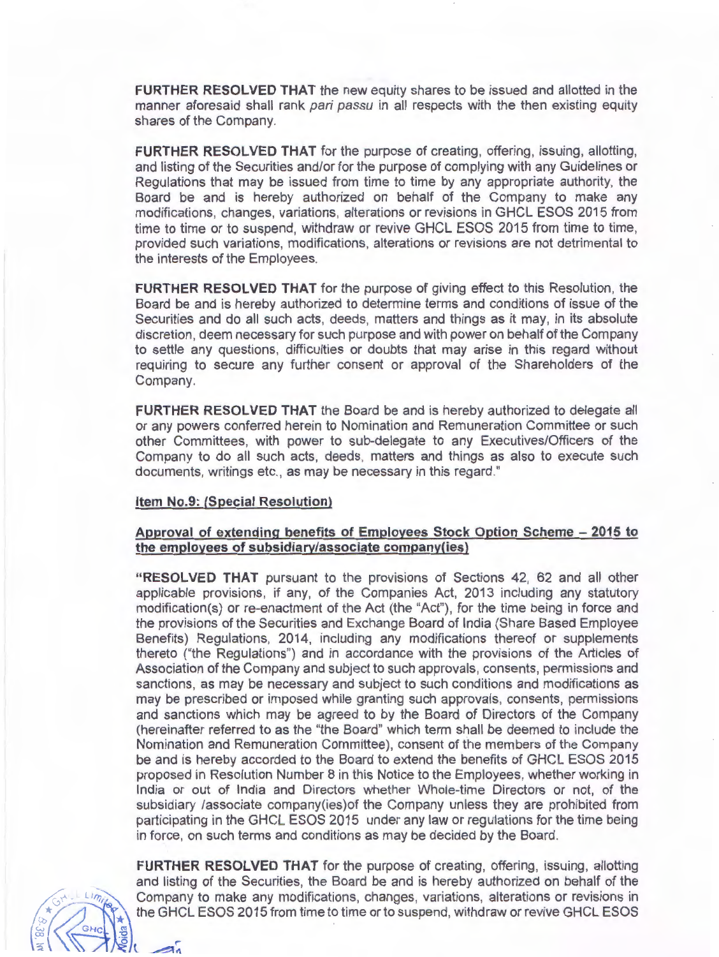**FURTHER RESOLVED THAT** the new equity shares to be issued and allotted in the manner aforesaid shall rank pari passu in all respects with the then existing equity shares of the Company.

**FURTHER RESOLVED THAT** for the purpose of creating, offering, issuing, allotting, and listing of the Securities and/or for the purpose of complying with any Guidelines or Regulations that may be issued from time to time by any appropriate authority, the Board be and is hereby authorized on behalf of the Company to make any modifications, changes, variations, alterations or revisions in GHCL ESOS 2015 from time to time or to suspend, withdraw or revive GHCL ESOS 2015 from time to time, provided such variations, modifications, alterations or revisions are not detrimental to the interests of the Employees.

**FURTHER RESOLVED THAT** for the purpose of giving effect to this Resolution, the Board be and is hereby authorized to determine terms and conditions of issue of the Securities and do all such acts, deeds, matters and things as it may, in its absolute discretion, deem necessary for such purpose and with power on behalf of the Company to settle any questions, difficulties or doubts that may arise in this regard without requiring to secure any further consent or approval of the Shareholders of the Company.

**FURTHER RESOLVED THAT** the Board be and is hereby authorized to delegate all or any powers conferred herein to Nomination and Remuneration Committee or such other Committees, with power to sub-delegate to any Executives/Officers of the Company to do all such acts, deeds, matters and things as also to execute such documents, writings etc., as may be necessary in this regard."

# **Item No.9: (Special Resolution)**

# **Approval of extending benefits of Employees Stock Option Scheme - 2015 to the employees of subsidiary/associate company(ies)**

**"RESOLVED THAT** pursuant to the provisions of Sections 42, 62 and all other applicable provisions, if any, of the Companies Act, 2013 including any statutory modification(s) or re-enactment of the Act (the "Act"), for the time being in force and the provisions of the Securities and Exchange Board of India (Share Based Employee Benefits) Regulations, 2014, including any modifications thereof or supplements thereto ("the Regulations") and in accordance with the provisions of the Articles of Association of the Company and subject to such approvals, consents, permissions and sanctions, as may be necessary and subject to such conditions and modifications as may be prescribed or imposed while granting such approvals, consents, permissions and sanctions which may be agreed to by the Board of Directors of the Company (hereinafter referred to as the "the Board" which term shall be deemed to include the Nomination and Remuneration Committee), consent of the members of the Company be and is hereby accorded to the Board to extend the benefits of GHCL ESOS 2015 proposed in Resolution Number 8 in this Notice to the Employees, whether working in India or out of India and Directors whether Whole-time Directors or not, of the subsidiary /associate company(ies)of the Company unless they are prohibited from participating in the GHCL ESOS 2015 under any law or regulations for the time being in force, on such terms and conditions as may be decided by the Board.

**FURTHER RESOLVED THAT** for the purpose of creating, offering, issuing, allotting and listing of the Securities, the Board be and is hereby authorized on behalf of the Company to make any modifications, changes, variations, alterations or revisions in the GHCL ESOS 2015 from time to time or to suspend, withdraw or revive GHCL ESOS

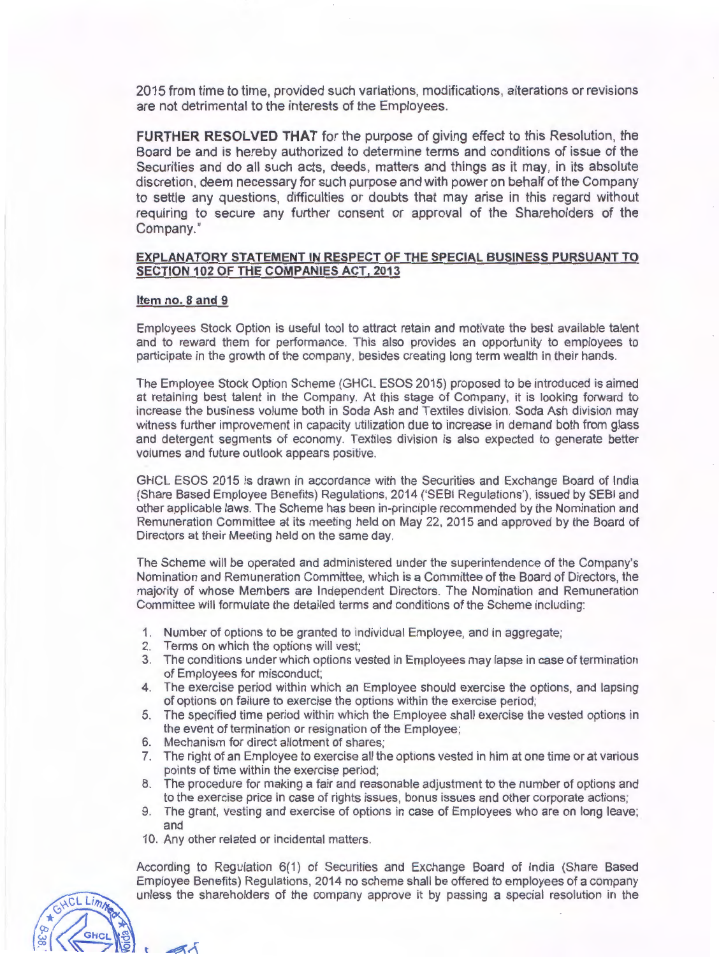2015 from time to time, provided such variations, modifications, alterations or revisions are not detrimental to the interests of the Employees .

**FURTHER RESOLVED THAT** for the purpose of giving effect to this Resolution, the Board be and is hereby authorized to determine terms and conditions of issue of the Securities and do all such acts, deeds, matters and things as it may, in its absolute discretion, deem necessary for such purpose and with power on behalf of the Company to settle any questions, difficulties or doubts that may arise in this regard without requiring to secure any further consent or approval of the Shareholders of the Company."

## **EXPLANATORY STATEMENT IN RESPECT OF THE SPECIAL BUSINESS PURSUANT TO SECTION 102 OF THE COMPANIES ACT, 2013**

## **Item no. 8 and 9**

Employees Stock Option is useful tool to attract retain and motivate the best available talent and to reward them for performance. This also provides an opportunity to employees to participate in the growth of the company, besides creating long term wealth in their hands.

The Employee Stock Option Scheme (GHCL ESOS 2015) proposed to be introduced is aimed at retaining best talent in the Company. At this stage of Company, it is looking forward to increase the business volume both in Soda Ash and Textiles division. Soda Ash division may witness further improvement in capacity utilization due to increase in demand both from glass and detergent segments of economy. Textiles division is also expected to generate better volumes and future outlook appears positive.

GHCL ESOS 2015 is drawn in accordance with the Securities and Exchange Board of India (Share Based Employee Benefits) Regulations, 2014 ('SEBI Regulations'), issued by SEBI and other applicable laws. The Scheme has been in-principle recommended by the Nomination and Remuneration Committee at its meeting held on May 22, 2015 and approved by the Board of Directors at their Meeting held on the same day.

The Scheme will be operated and administered under the superintendence of the Company's Nomination and Remuneration Committee, which is a Committee of the Board of Directors, the majority of whose Members are Independent Directors. The Nomination and Remuneration Committee will formulate the detailed terms and conditions of the Scheme including:

- 1. Number of options to be granted to individual Employee, and in aggregate;
- 2. Terms on which the options will vest;
- 3. The conditions under which options vested in Employees may lapse in case of termination of Employees for misconduct;
- 4. The exercise period within which an Employee should exercise the options, and lapsing of options on failure to exercise the options within the exercise period;
- 5. The specified time period within which the Employee shall exercise the vested options in the event of termination or resignation of the Employee;
- 6. Mechanism for direct allotment of shares;
- 7. The right of an Employee to exercise all the options vested in him at one time or at various points of time within the exercise period;
- 8. The procedure for making a fair and reasonable adjustment to the number of options and to the exercise price in case of rights issues, bonus issues and other corporate actions;
- 9. The grant, vesting and exercise of options in case of Employees who are on long leave; and
- 10. Any other related or incidental matters.

CL Limm

According to Regulation 6(1) of Securities and Exchange Board of India (Share Based Employee Benefits) Regulations, 2014 no scheme shall be offered to employees of a company unless the shareholders of the company approve it by passing a special resolution in the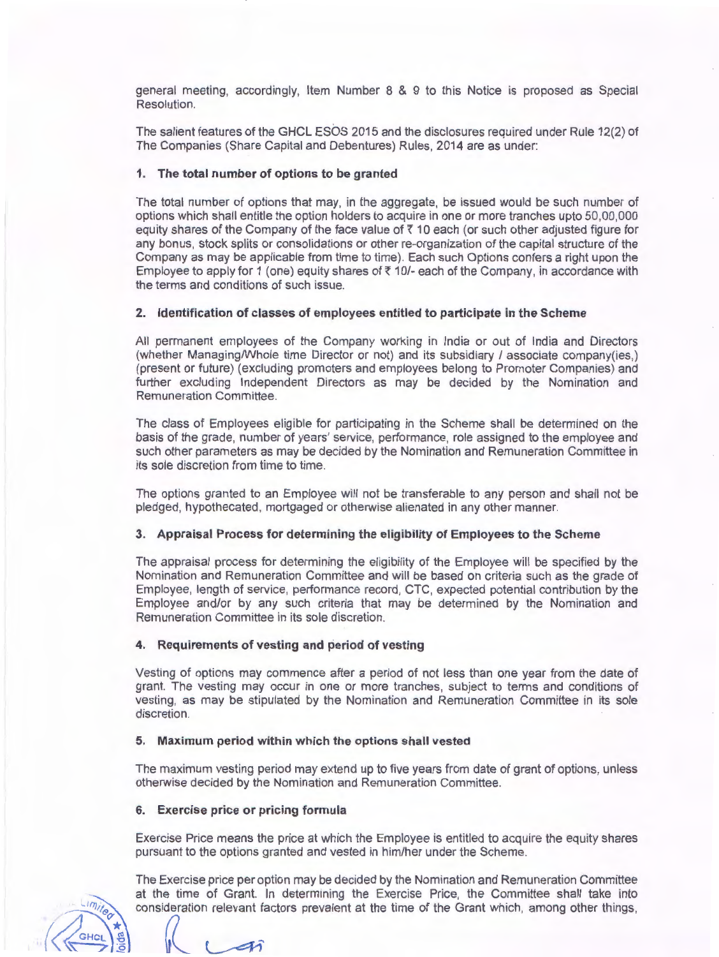general meeting, accordingly, Item Number 8 & 9 to this Notice is proposed as Special Resolution.

The salient features of the GHCL ESOS 2015 and the disclosures required under Rule 12(2) of The Companies (Share Capital and Debentures) Rules, 2014 are as under:

# **1. The total number of options to be granted**

The total number of options that may, in the aggregate, be issued would be such number of options which shall entitle the option holders to acquire in one or more tranches upto 50,00,000 equity shares of the Company of the face value of *Z* 10 each (or such other adjusted figure for any bonus, stock splits or consolidations or other re-organization of the capital structure of the Company as may be applicable from time to time). Each such Options confers a right upon the Employee to apply for 1 (one) equity shares of  $\bar{\tau}$  10/- each of the Company, in accordance with the terms and conditions of such issue.

### **2. Identification of classes of employees entitled to participate in the Scheme**

All permanent employees of the Company working in India or out of India and Directors (whether Managing/Whole time Director or not) and its subsidiary / associate company(ies.) (present or future) (excluding promoters and employees belong to Promoter Companies) and further excluding Independent Directors as may be decided by the Nomination and Remuneration Committee.

The class of Employees eligible for participating in the Scheme shall be determined on the basis of the grade, number of years' service, performance, role assigned to the employee and such other parameters as may be decided by the Nomination and Remuneration Committee in its sole discretion from time to time.

The options granted to an Employee will not be transferable to any person and shall not be pledged, hypothecated, mortgaged or otherwise alienated in any other manner.

## **3. Appraisal Process for determining the eligibility of Employees to the Scheme**

The appraisal process for determining the eligibility of the Employee will be specified by the Nomination and Remuneration Committee and will be based on criteria such as the grade of Employee, length of service, performance record, CTC, expected potential contribution by the Employee and/or by any such criteria that may be determined by the Nomination and Remuneration Committee in its sole discretion.

#### **4. Requirements of vesting and period of vesting**

Vesting of options may commence after a period of not less than one year from the date of grant. The vesting may occur in one or more tranches, subject to terms and conditions of vesting, as may be stipulated by the Nomination and Remuneration Committee in its sole discretion.

#### **5. Maximum period within which the options shall vested**

The maximum vesting period may extend up to five years from date of grant of options, unless otherwise decided by the Nomination and Remuneration Committee.

#### **6. Exercise price or pricing formula**

Exercise Price means the price at which the Employee is entitled to acquire the equity shares pursuant to the options granted and vested in him/her under the Scheme.

The Exercise price per option may be decided by the Nomination and Remuneration Committee at the time of Grant. In determining the Exercise Price, the Committee shall take into consideration relevant factors prevalent at the time of the Grant which, among other things,  $\int_{\mathbb{R}^2}$ 

LIMiles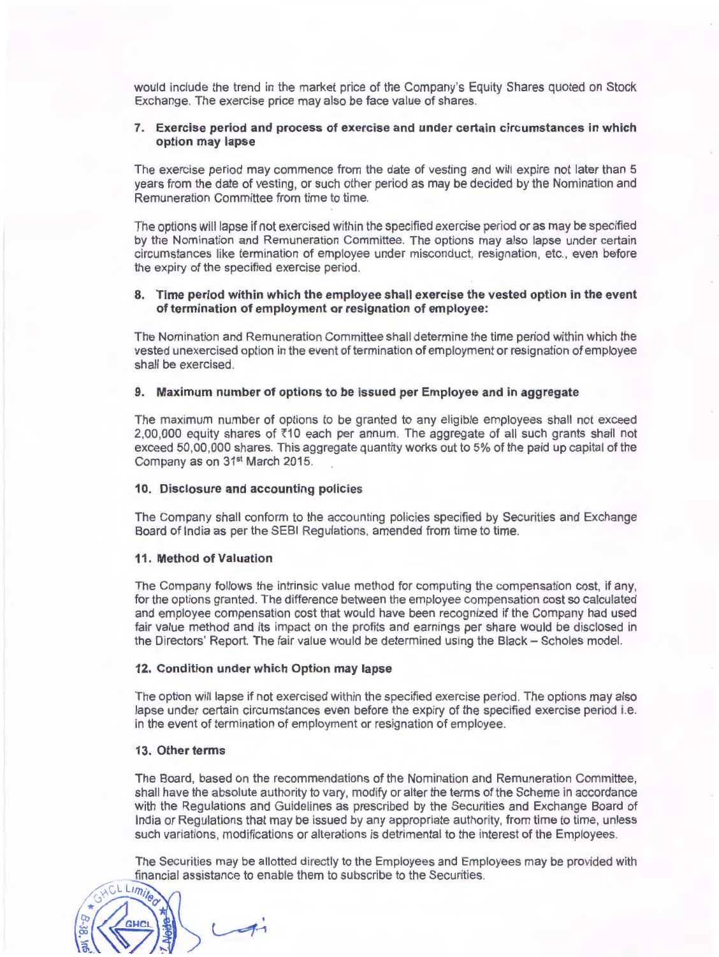would include the trend in the market price of the Company's Equity Shares quoted on Stock Exchange. The exercise price may also be face value of shares.

## **7. Exercise period and process of exercise and under certain circumstances in which option may lapse**

The exercise period may commence from the date of vesting and will expire not later than 5 years from the date of vesting, or such other period as may be decided by the Nomination and Remuneration Committee from time to time.

The options will lapse if not exercised within the specified exercise period or as may be specified by the Nomination and Remuneration Committee. The options may also lapse under certain circumstances like termination of employee under misconduct, resignation , etc., even before the expiry of the specified exercise period.

## **8. Time period within which the employee shall exercise the vested option in the event of termination of employment or resignation of employee:**

The Nomination and Remuneration Committee shall determine the time period within which the vested unexercised option in the event of termination of employment or resignation of employee shall be exercised.

#### **9. Maximum number of options to be issued per Employee and in aggregate**

The maximum number of options to be granted to any eligible employees shall not exceed 2,00,000 equity shares of  $\overline{5}10$  each per annum. The aggregate of all such grants shall not exceed 50,00,000 shares. This aggregate quantity works out to 5% of the paid up capital of the Company as on 31<sup>st</sup> March 2015.

#### **10. Disclosure and accounting policies**

The Company shall conform to the accounting policies specified by Securities and Exchange Board of India as per the SEBI Regulations, amended from time to time.

#### **11. Method of Valuation**

The Company follows the intrinsic value method for computing the compensation cost, if any, for the options granted. The difference between the employee compensation cost so calculated and employee compensation cost that would have been recognized if the Company had used fair value method and its impact on the profits and earnings per share would be disclosed in the Directors' Report. The fair value would be determined using the Black - Scholes model.

#### **12. Condition under which Option may lapse**

The option will lapse if not exercised within the specified exercise period. The options may also lapse under certain circumstances even before the expiry of the specified exercise period i.e. in the event of termination of employment or resignation of employee.

## **13. Other terms**

The Board, based on the recommendations of the Nomination and Remuneration Committee, shall have the absolute authority to vary, modify or alter the terms of the Scheme in accordance with the Regulations and Guidelines as prescribed by the Securities and Exchange Board of India or Regulations that may be issued by any appropriate authority, from time to time, unless such variations, modifications or alterations is detrimental to the interest of the Employees.

The Securities may be allotted directly to the Employees and Employees may be provided with financial assistance to enable them to subscribe to the Securities.